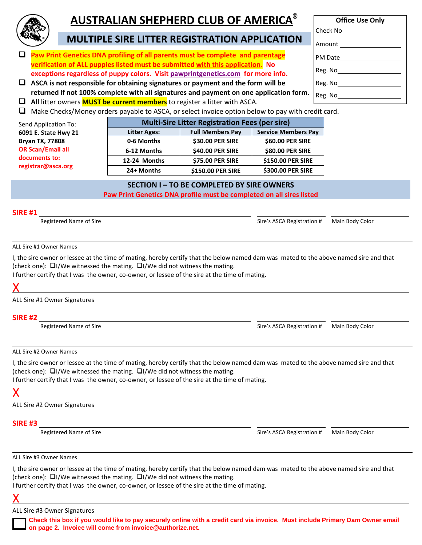

## **AUSTRALIAN SHEPHERD CLUB OF AMERICA®**

**Office Use Only**

## **MULTIPLE SIRE LITTER REGISTRATION APPLICATION**

- **Paw Print Genetics DNA profiling of all parents must be complete and parentage verification of ALL puppies listed must be submitted with this application. No exceptions regardless of puppy colors. Visit pawprintgenetics.com for more info.**
- **ASCA is not responsible for obtaining signatures or payment and the form will be returned if not 100% complete with all signatures and payment on one application form.**
- **All** litter owners **MUST be current members** to register a litter with ASCA.
- Check No Amount PM Date Reg. No Reg. No Reg. No
- $\Box$  Make Checks/Money orders payable to ASCA, or select invoice option below to pay with credit card.

| Send Application To:     | <b>Multi-Sire Litter Registration Fees (per sire)</b> |                         |                            |  |  |  |
|--------------------------|-------------------------------------------------------|-------------------------|----------------------------|--|--|--|
| 6091 E. State Hwy 21     | <b>Litter Ages:</b>                                   | <b>Full Members Pay</b> | <b>Service Members Pay</b> |  |  |  |
| <b>Bryan TX, 77808</b>   | 0-6 Months                                            | \$30.00 PER SIRE        | \$60.00 PER SIRE           |  |  |  |
| <b>OR Scan/Email all</b> | 6-12 Months                                           | \$40.00 PER SIRE        | \$80.00 PER SIRE           |  |  |  |
| documents to:            | 12-24 Months                                          | \$75.00 PER SIRE        | \$150.00 PER SIRE          |  |  |  |
| registrar@asca.org       | 24+ Months                                            | \$150.00 PER SIRE       | \$300.00 PER SIRE          |  |  |  |

### **SECTION I – TO BE COMPLETED BY SIRE OWNERS**

**Paw Print Genetics DNA profile must be completed on all sires listed**

#### **SIRE #1**

Registered Name of Sire Sire Sire's ASCA Registration # Main Body Color

#### ALL Sire #1 Owner Names

I, the sire owner or lessee at the time of mating, hereby certify that the below named dam was mated to the above named sire and that (check one):  $\Box I/We$  witnessed the mating.  $\Box I/We$  did not witness the mating.

I further certify that I was the owner, co-owner, or lessee of the sire at the time of mating.

# X

ALL Sire #1 Owner Signatures

## **SIRE #2**

Registered Name of Sire Sire's ASCA Registration # Main Body Color

#### ALL Sire #2 Owner Names

I, the sire owner or lessee at the time of mating, hereby certify that the below named dam was mated to the above named sire and that (check one):  $\Box I/W$ e witnessed the mating.  $\Box I/W$ e did not witness the mating.

I further certify that I was the owner, co-owner, or lessee of the sire at the time of mating.

# X

ALL Sire #2 Owner Signatures

### **SIRE #3**

Registered Name of Sire Sire's ASCA Registration # Main Body Color

#### ALL Sire #3 Owner Names

I, the sire owner or lessee at the time of mating, hereby certify that the below named dam was mated to the above named sire and that (check one):  $\Box I/We$  witnessed the mating.  $\Box I/We$  did not witness the mating.

I further certify that I was the owner, co-owner, or lessee of the sire at the time of mating.



ALL Sire #3 Owner Signatures

**Check this box if you would like to pay securely online with a credit card via invoice. Must include Primary Dam Owner email on page 2. Invoice will come from invoice@authorize.net.**